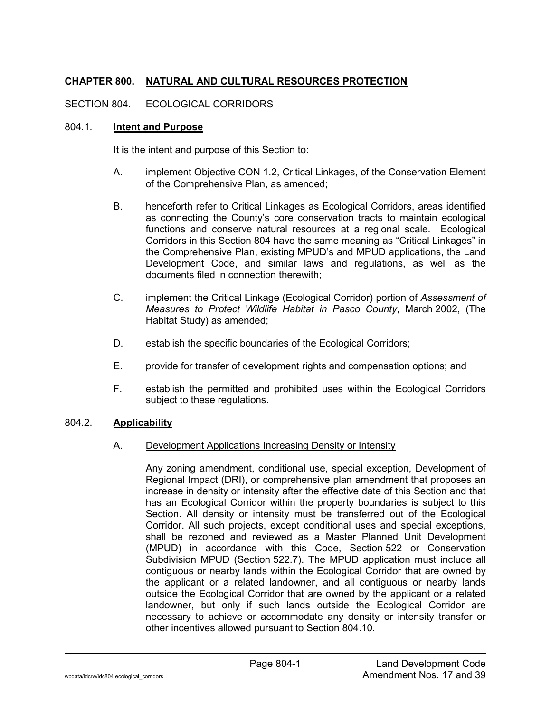# **CHAPTER 800. NATURAL AND CULTURAL RESOURCES PROTECTION**

## SECTION 804. ECOLOGICAL CORRIDORS

#### 804.1. **Intent and Purpose**

It is the intent and purpose of this Section to:

- A. implement Objective CON 1.2, Critical Linkages, of the Conservation Element of the Comprehensive Plan, as amended;
- B. henceforth refer to Critical Linkages as Ecological Corridors, areas identified as connecting the County's core conservation tracts to maintain ecological functions and conserve natural resources at a regional scale. Ecological Corridors in this Section 804 have the same meaning as "Critical Linkages" in the Comprehensive Plan, existing MPUD's and MPUD applications, the Land Development Code, and similar laws and regulations, as well as the documents filed in connection therewith;
- C. implement the Critical Linkage (Ecological Corridor) portion of *Assessment of Measures to Protect Wildlife Habitat in Pasco County*, March 2002, (The Habitat Study) as amended;
- D. establish the specific boundaries of the Ecological Corridors;
- E. provide for transfer of development rights and compensation options; and
- F. establish the permitted and prohibited uses within the Ecological Corridors subject to these regulations.

## 804.2. **Applicability**

## A. Development Applications Increasing Density or Intensity

Any zoning amendment, conditional use, special exception, Development of Regional Impact (DRI), or comprehensive plan amendment that proposes an increase in density or intensity after the effective date of this Section and that has an Ecological Corridor within the property boundaries is subject to this Section. All density or intensity must be transferred out of the Ecological Corridor. All such projects, except conditional uses and special exceptions, shall be rezoned and reviewed as a Master Planned Unit Development (MPUD) in accordance with this Code, Section 522 or Conservation Subdivision MPUD (Section 522.7). The MPUD application must include all contiguous or nearby lands within the Ecological Corridor that are owned by the applicant or a related landowner, and all contiguous or nearby lands outside the Ecological Corridor that are owned by the applicant or a related landowner, but only if such lands outside the Ecological Corridor are necessary to achieve or accommodate any density or intensity transfer or other incentives allowed pursuant to Section 804.10.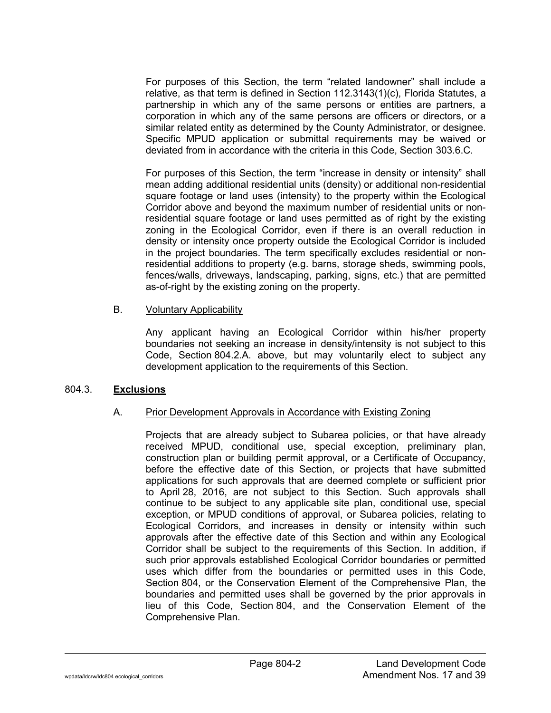For purposes of this Section, the term "related landowner" shall include a relative, as that term is defined in Section 112.3143(1)(c), Florida Statutes, a partnership in which any of the same persons or entities are partners, a corporation in which any of the same persons are officers or directors, or a similar related entity as determined by the County Administrator, or designee. Specific MPUD application or submittal requirements may be waived or deviated from in accordance with the criteria in this Code, Section 303.6.C.

For purposes of this Section, the term "increase in density or intensity" shall mean adding additional residential units (density) or additional non-residential square footage or land uses (intensity) to the property within the Ecological Corridor above and beyond the maximum number of residential units or nonresidential square footage or land uses permitted as of right by the existing zoning in the Ecological Corridor, even if there is an overall reduction in density or intensity once property outside the Ecological Corridor is included in the project boundaries. The term specifically excludes residential or nonresidential additions to property (e.g. barns, storage sheds, swimming pools, fences/walls, driveways, landscaping, parking, signs, etc.) that are permitted as-of-right by the existing zoning on the property.

#### B. Voluntary Applicability

Any applicant having an Ecological Corridor within his/her property boundaries not seeking an increase in density/intensity is not subject to this Code, Section 804.2.A. above, but may voluntarily elect to subject any development application to the requirements of this Section.

#### 804.3. **Exclusions**

#### A. Prior Development Approvals in Accordance with Existing Zoning

Projects that are already subject to Subarea policies, or that have already received MPUD, conditional use, special exception, preliminary plan, construction plan or building permit approval, or a Certificate of Occupancy, before the effective date of this Section, or projects that have submitted applications for such approvals that are deemed complete or sufficient prior to April 28, 2016, are not subject to this Section. Such approvals shall continue to be subject to any applicable site plan, conditional use, special exception, or MPUD conditions of approval, or Subarea policies, relating to Ecological Corridors, and increases in density or intensity within such approvals after the effective date of this Section and within any Ecological Corridor shall be subject to the requirements of this Section. In addition, if such prior approvals established Ecological Corridor boundaries or permitted uses which differ from the boundaries or permitted uses in this Code, Section 804, or the Conservation Element of the Comprehensive Plan, the boundaries and permitted uses shall be governed by the prior approvals in lieu of this Code, Section 804, and the Conservation Element of the Comprehensive Plan.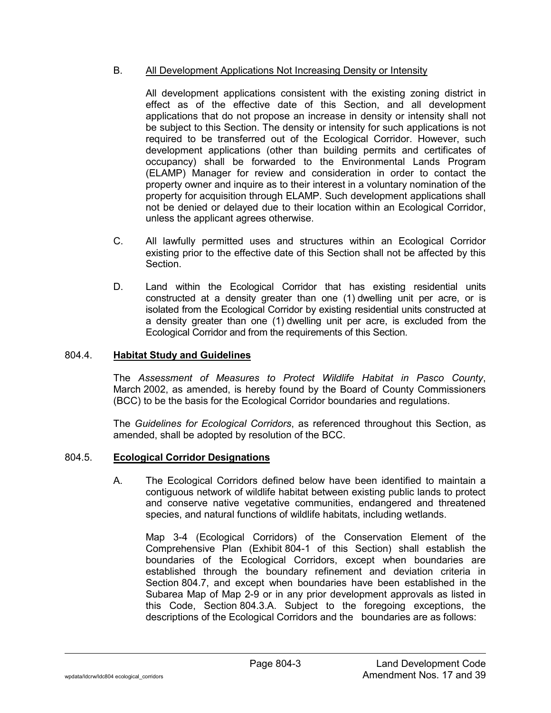## B. All Development Applications Not Increasing Density or Intensity

All development applications consistent with the existing zoning district in effect as of the effective date of this Section, and all development applications that do not propose an increase in density or intensity shall not be subject to this Section. The density or intensity for such applications is not required to be transferred out of the Ecological Corridor. However, such development applications (other than building permits and certificates of occupancy) shall be forwarded to the Environmental Lands Program (ELAMP) Manager for review and consideration in order to contact the property owner and inquire as to their interest in a voluntary nomination of the property for acquisition through ELAMP. Such development applications shall not be denied or delayed due to their location within an Ecological Corridor, unless the applicant agrees otherwise.

- C. All lawfully permitted uses and structures within an Ecological Corridor existing prior to the effective date of this Section shall not be affected by this Section.
- D. Land within the Ecological Corridor that has existing residential units constructed at a density greater than one (1) dwelling unit per acre, or is isolated from the Ecological Corridor by existing residential units constructed at a density greater than one (1) dwelling unit per acre, is excluded from the Ecological Corridor and from the requirements of this Section.

#### 804.4. **Habitat Study and Guidelines**

The *Assessment of Measures to Protect Wildlife Habitat in Pasco County*, March 2002, as amended, is hereby found by the Board of County Commissioners (BCC) to be the basis for the Ecological Corridor boundaries and regulations.

The *Guidelines for Ecological Corridors*, as referenced throughout this Section, as amended, shall be adopted by resolution of the BCC.

#### 804.5. **Ecological Corridor Designations**

A. The Ecological Corridors defined below have been identified to maintain a contiguous network of wildlife habitat between existing public lands to protect and conserve native vegetative communities, endangered and threatened species, and natural functions of wildlife habitats, including wetlands.

Map 3-4 (Ecological Corridors) of the Conservation Element of the Comprehensive Plan (Exhibit 804-1 of this Section) shall establish the boundaries of the Ecological Corridors, except when boundaries are established through the boundary refinement and deviation criteria in Section 804.7, and except when boundaries have been established in the Subarea Map of Map 2-9 or in any prior development approvals as listed in this Code, Section 804.3.A. Subject to the foregoing exceptions, the descriptions of the Ecological Corridors and the boundaries are as follows: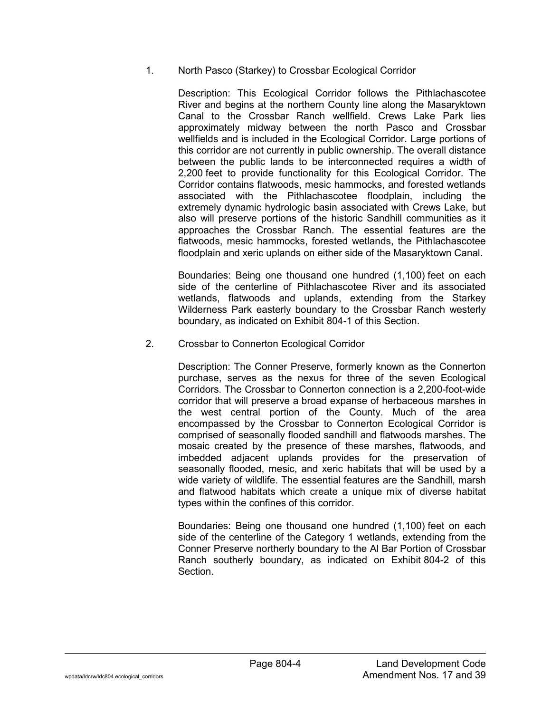1. North Pasco (Starkey) to Crossbar Ecological Corridor

Description: This Ecological Corridor follows the Pithlachascotee River and begins at the northern County line along the Masaryktown Canal to the Crossbar Ranch wellfield. Crews Lake Park lies approximately midway between the north Pasco and Crossbar wellfields and is included in the Ecological Corridor. Large portions of this corridor are not currently in public ownership. The overall distance between the public lands to be interconnected requires a width of 2,200 feet to provide functionality for this Ecological Corridor. The Corridor contains flatwoods, mesic hammocks, and forested wetlands associated with the Pithlachascotee floodplain, including the extremely dynamic hydrologic basin associated with Crews Lake, but also will preserve portions of the historic Sandhill communities as it approaches the Crossbar Ranch. The essential features are the flatwoods, mesic hammocks, forested wetlands, the Pithlachascotee floodplain and xeric uplands on either side of the Masaryktown Canal.

Boundaries: Being one thousand one hundred (1,100) feet on each side of the centerline of Pithlachascotee River and its associated wetlands, flatwoods and uplands, extending from the Starkey Wilderness Park easterly boundary to the Crossbar Ranch westerly boundary, as indicated on Exhibit 804-1 of this Section.

2. Crossbar to Connerton Ecological Corridor

Description: The Conner Preserve, formerly known as the Connerton purchase, serves as the nexus for three of the seven Ecological Corridors. The Crossbar to Connerton connection is a 2,200-foot-wide corridor that will preserve a broad expanse of herbaceous marshes in the west central portion of the County. Much of the area encompassed by the Crossbar to Connerton Ecological Corridor is comprised of seasonally flooded sandhill and flatwoods marshes. The mosaic created by the presence of these marshes, flatwoods, and imbedded adjacent uplands provides for the preservation of seasonally flooded, mesic, and xeric habitats that will be used by a wide variety of wildlife. The essential features are the Sandhill, marsh and flatwood habitats which create a unique mix of diverse habitat types within the confines of this corridor.

Boundaries: Being one thousand one hundred (1,100) feet on each side of the centerline of the Category 1 wetlands, extending from the Conner Preserve northerly boundary to the Al Bar Portion of Crossbar Ranch southerly boundary, as indicated on Exhibit 804-2 of this Section.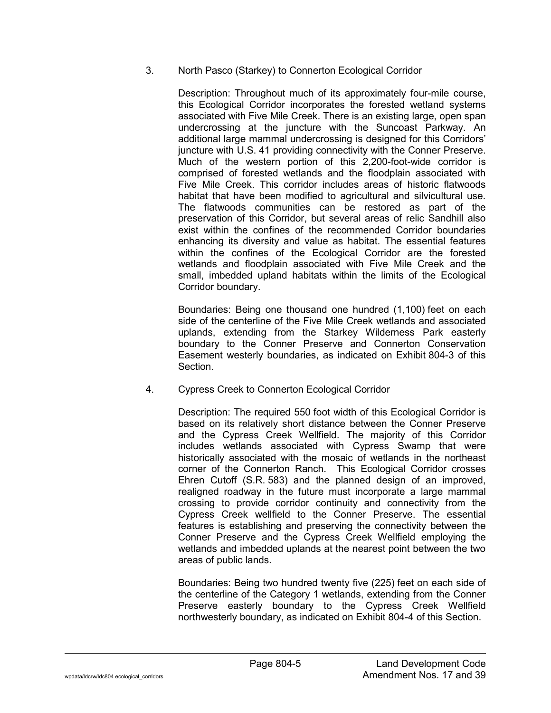## 3. North Pasco (Starkey) to Connerton Ecological Corridor

Description: Throughout much of its approximately four-mile course, this Ecological Corridor incorporates the forested wetland systems associated with Five Mile Creek. There is an existing large, open span undercrossing at the juncture with the Suncoast Parkway. An additional large mammal undercrossing is designed for this Corridors' juncture with U.S. 41 providing connectivity with the Conner Preserve. Much of the western portion of this 2,200-foot-wide corridor is comprised of forested wetlands and the floodplain associated with Five Mile Creek. This corridor includes areas of historic flatwoods habitat that have been modified to agricultural and silvicultural use. The flatwoods communities can be restored as part of the preservation of this Corridor, but several areas of relic Sandhill also exist within the confines of the recommended Corridor boundaries enhancing its diversity and value as habitat. The essential features within the confines of the Ecological Corridor are the forested wetlands and floodplain associated with Five Mile Creek and the small, imbedded upland habitats within the limits of the Ecological Corridor boundary.

Boundaries: Being one thousand one hundred (1,100) feet on each side of the centerline of the Five Mile Creek wetlands and associated uplands, extending from the Starkey Wilderness Park easterly boundary to the Conner Preserve and Connerton Conservation Easement westerly boundaries, as indicated on Exhibit 804-3 of this Section.

4. Cypress Creek to Connerton Ecological Corridor

Description: The required 550 foot width of this Ecological Corridor is based on its relatively short distance between the Conner Preserve and the Cypress Creek Wellfield. The majority of this Corridor includes wetlands associated with Cypress Swamp that were historically associated with the mosaic of wetlands in the northeast corner of the Connerton Ranch. This Ecological Corridor crosses Ehren Cutoff (S.R. 583) and the planned design of an improved, realigned roadway in the future must incorporate a large mammal crossing to provide corridor continuity and connectivity from the Cypress Creek wellfield to the Conner Preserve. The essential features is establishing and preserving the connectivity between the Conner Preserve and the Cypress Creek Wellfield employing the wetlands and imbedded uplands at the nearest point between the two areas of public lands.

Boundaries: Being two hundred twenty five (225) feet on each side of the centerline of the Category 1 wetlands, extending from the Conner Preserve easterly boundary to the Cypress Creek Wellfield northwesterly boundary, as indicated on Exhibit 804-4 of this Section.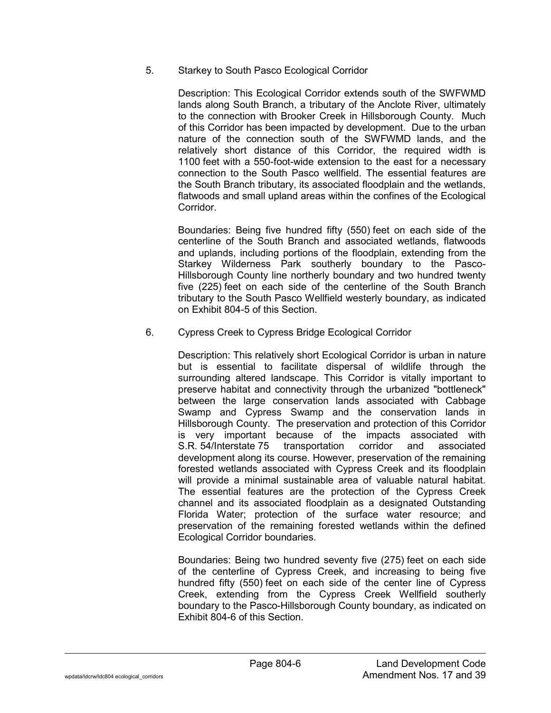5. Starkey to South Pasco Ecological Corridor

Description: This Ecological Corridor extends south of the SWFWMD lands along South Branch, a tributary of the Anclote River, ultimately to the connection with Brooker Creek in Hillsborough County. Much of this Corridor has been impacted by development. Due to the urban nature of the connection south of the SWFWMD lands, and the relatively short distance of this Corridor, the required width is 1100 feet with a 550-foot-wide extension to the east for a necessary connection to the South Pasco wellfield. The essential features are the South Branch tributary, its associated floodplain and the wetlands, flatwoods and small upland areas within the confines of the Ecological Corridor.

Boundaries: Being five hundred fifty (550) feet on each side of the centerline of the South Branch and associated wetlands, flatwoods and uplands, including portions of the floodplain, extending from the Starkey Wilderness Park southerly boundary to the Pasco-Hillsborough County line northerly boundary and two hundred twenty five (225) feet on each side of the centerline of the South Branch tributary to the South Pasco Wellfield westerly boundary, as indicated on Exhibit 804-5 of this Section.

6. Cypress Creek to Cypress Bridge Ecological Corridor

Description: This relatively short Ecological Corridor is urban in nature but is essential to facilitate dispersal of wildlife through the surrounding altered landscape. This Corridor is vitally important to preserve habitat and connectivity through the urbanized "bottleneck" between the large conservation lands associated with Cabbage Swamp and Cypress Swamp and the conservation lands in Hillsborough County. The preservation and protection of this Corridor is very important because of the impacts associated with S.R. 54/Interstate 75 transportation corridor and associated development along its course. However, preservation of the remaining forested wetlands associated with Cypress Creek and its floodplain will provide a minimal sustainable area of valuable natural habitat. The essential features are the protection of the Cypress Creek channel and its associated floodplain as a designated Outstanding Florida Water; protection of the surface water resource; and preservation of the remaining forested wetlands within the defined Ecological Corridor boundaries.

Boundaries: Being two hundred seventy five (275) feet on each side of the centerline of Cypress Creek, and increasing to being five hundred fifty (550) feet on each side of the center line of Cypress Creek, extending from the Cypress Creek Wellfield southerly boundary to the Pasco-Hillsborough County boundary, as indicated on Exhibit 804-6 of this Section.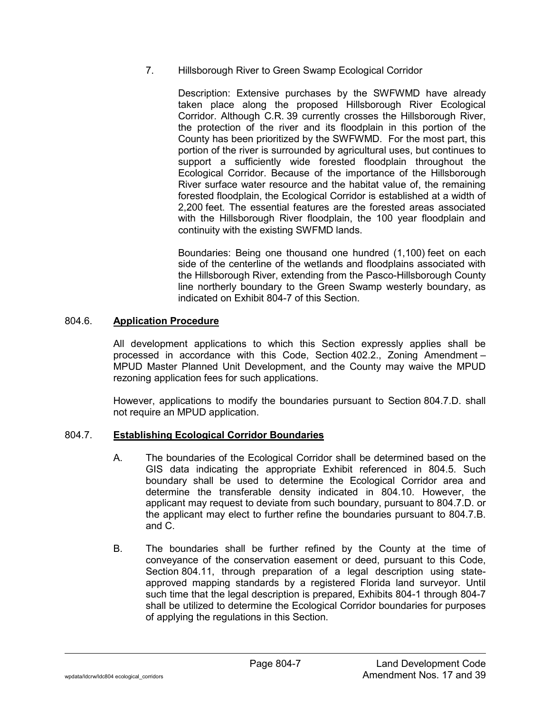7. Hillsborough River to Green Swamp Ecological Corridor

Description: Extensive purchases by the SWFWMD have already taken place along the proposed Hillsborough River Ecological Corridor. Although C.R. 39 currently crosses the Hillsborough River, the protection of the river and its floodplain in this portion of the County has been prioritized by the SWFWMD. For the most part, this portion of the river is surrounded by agricultural uses, but continues to support a sufficiently wide forested floodplain throughout the Ecological Corridor. Because of the importance of the Hillsborough River surface water resource and the habitat value of, the remaining forested floodplain, the Ecological Corridor is established at a width of 2,200 feet. The essential features are the forested areas associated with the Hillsborough River floodplain, the 100 year floodplain and continuity with the existing SWFMD lands.

Boundaries: Being one thousand one hundred (1,100) feet on each side of the centerline of the wetlands and floodplains associated with the Hillsborough River, extending from the Pasco-Hillsborough County line northerly boundary to the Green Swamp westerly boundary, as indicated on Exhibit 804-7 of this Section.

#### 804.6. **Application Procedure**

All development applications to which this Section expressly applies shall be processed in accordance with this Code, Section 402.2., Zoning Amendment – MPUD Master Planned Unit Development, and the County may waive the MPUD rezoning application fees for such applications.

However, applications to modify the boundaries pursuant to Section 804.7.D. shall not require an MPUD application.

# 804.7. **Establishing Ecological Corridor Boundaries**

- A. The boundaries of the Ecological Corridor shall be determined based on the GIS data indicating the appropriate Exhibit referenced in 804.5. Such boundary shall be used to determine the Ecological Corridor area and determine the transferable density indicated in 804.10. However, the applicant may request to deviate from such boundary, pursuant to 804.7.D. or the applicant may elect to further refine the boundaries pursuant to 804.7.B. and C.
- B. The boundaries shall be further refined by the County at the time of conveyance of the conservation easement or deed, pursuant to this Code, Section 804.11, through preparation of a legal description using stateapproved mapping standards by a registered Florida land surveyor. Until such time that the legal description is prepared, Exhibits 804-1 through 804-7 shall be utilized to determine the Ecological Corridor boundaries for purposes of applying the regulations in this Section.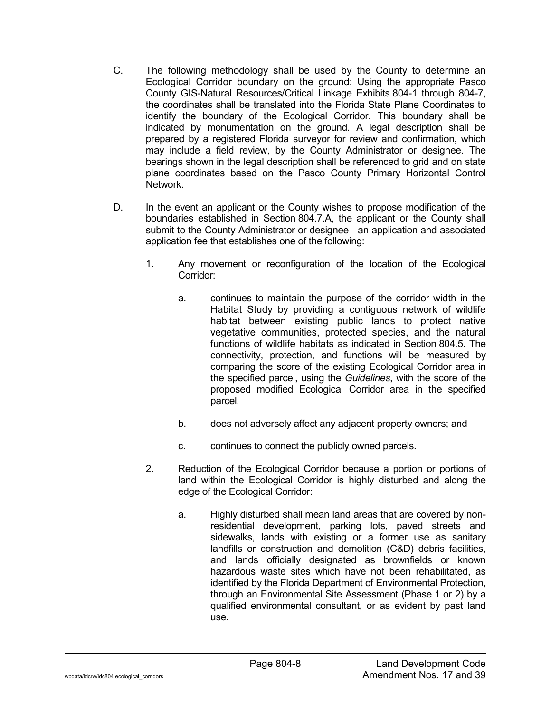- C. The following methodology shall be used by the County to determine an Ecological Corridor boundary on the ground: Using the appropriate Pasco County GIS-Natural Resources/Critical Linkage Exhibits 804-1 through 804-7, the coordinates shall be translated into the Florida State Plane Coordinates to identify the boundary of the Ecological Corridor. This boundary shall be indicated by monumentation on the ground. A legal description shall be prepared by a registered Florida surveyor for review and confirmation, which may include a field review, by the County Administrator or designee. The bearings shown in the legal description shall be referenced to grid and on state plane coordinates based on the Pasco County Primary Horizontal Control Network.
- D. In the event an applicant or the County wishes to propose modification of the boundaries established in Section 804.7.A, the applicant or the County shall submit to the County Administrator or designee an application and associated application fee that establishes one of the following:
	- 1. Any movement or reconfiguration of the location of the Ecological Corridor:
		- a. continues to maintain the purpose of the corridor width in the Habitat Study by providing a contiguous network of wildlife habitat between existing public lands to protect native vegetative communities, protected species, and the natural functions of wildlife habitats as indicated in Section 804.5. The connectivity, protection, and functions will be measured by comparing the score of the existing Ecological Corridor area in the specified parcel, using the *Guidelines*, with the score of the proposed modified Ecological Corridor area in the specified parcel.
		- b. does not adversely affect any adjacent property owners; and
		- c. continues to connect the publicly owned parcels.
	- 2. Reduction of the Ecological Corridor because a portion or portions of land within the Ecological Corridor is highly disturbed and along the edge of the Ecological Corridor:
		- a. Highly disturbed shall mean land areas that are covered by nonresidential development, parking lots, paved streets and sidewalks, lands with existing or a former use as sanitary landfills or construction and demolition (C&D) debris facilities, and lands officially designated as brownfields or known hazardous waste sites which have not been rehabilitated, as identified by the Florida Department of Environmental Protection, through an Environmental Site Assessment (Phase 1 or 2) by a qualified environmental consultant, or as evident by past land use.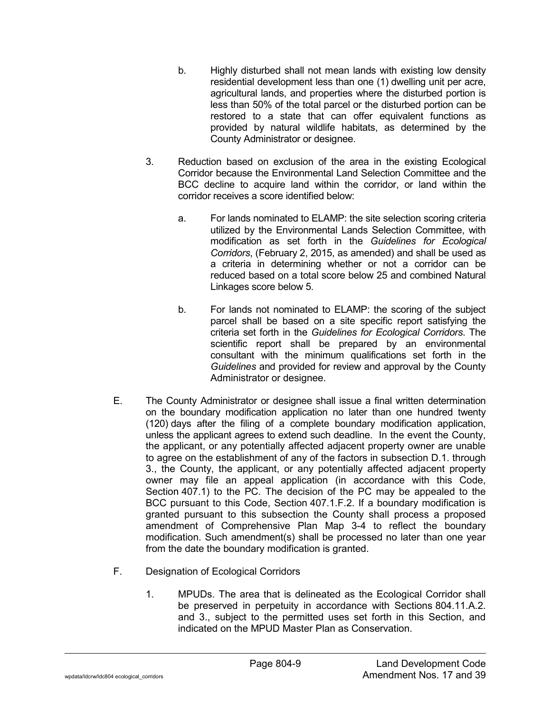- b. Highly disturbed shall not mean lands with existing low density residential development less than one (1) dwelling unit per acre, agricultural lands, and properties where the disturbed portion is less than 50% of the total parcel or the disturbed portion can be restored to a state that can offer equivalent functions as provided by natural wildlife habitats, as determined by the County Administrator or designee.
- 3. Reduction based on exclusion of the area in the existing Ecological Corridor because the Environmental Land Selection Committee and the BCC decline to acquire land within the corridor, or land within the corridor receives a score identified below:
	- a. For lands nominated to ELAMP: the site selection scoring criteria utilized by the Environmental Lands Selection Committee, with modification as set forth in the *Guidelines for Ecological Corridors*, (February 2, 2015, as amended) and shall be used as a criteria in determining whether or not a corridor can be reduced based on a total score below 25 and combined Natural Linkages score below 5.
	- b. For lands not nominated to ELAMP: the scoring of the subject parcel shall be based on a site specific report satisfying the criteria set forth in the *Guidelines for Ecological Corridors*. The scientific report shall be prepared by an environmental consultant with the minimum qualifications set forth in the *Guidelines* and provided for review and approval by the County Administrator or designee.
- E. The County Administrator or designee shall issue a final written determination on the boundary modification application no later than one hundred twenty (120) days after the filing of a complete boundary modification application, unless the applicant agrees to extend such deadline. In the event the County, the applicant, or any potentially affected adjacent property owner are unable to agree on the establishment of any of the factors in subsection D.1. through 3., the County, the applicant, or any potentially affected adjacent property owner may file an appeal application (in accordance with this Code, Section 407.1) to the PC. The decision of the PC may be appealed to the BCC pursuant to this Code, Section 407.1.F.2. If a boundary modification is granted pursuant to this subsection the County shall process a proposed amendment of Comprehensive Plan Map 3-4 to reflect the boundary modification. Such amendment(s) shall be processed no later than one year from the date the boundary modification is granted.
- F. Designation of Ecological Corridors
	- 1. MPUDs. The area that is delineated as the Ecological Corridor shall be preserved in perpetuity in accordance with Sections 804.11.A.2. and 3., subject to the permitted uses set forth in this Section, and indicated on the MPUD Master Plan as Conservation.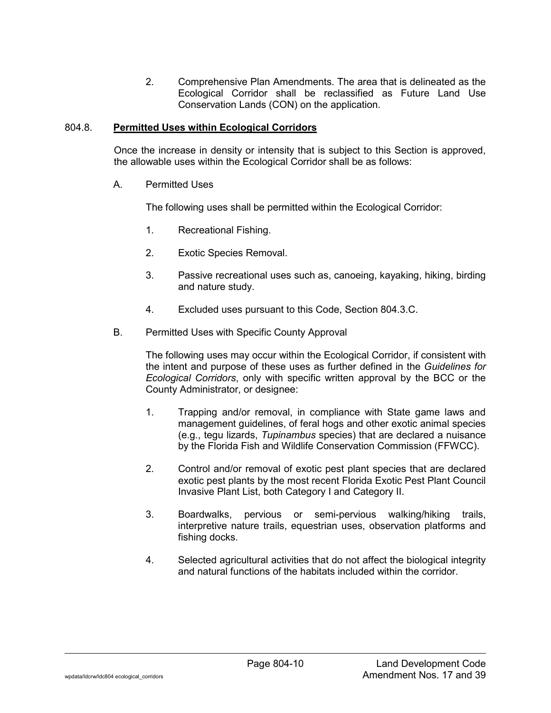2. Comprehensive Plan Amendments. The area that is delineated as the Ecological Corridor shall be reclassified as Future Land Use Conservation Lands (CON) on the application.

#### 804.8. **Permitted Uses within Ecological Corridors**

Once the increase in density or intensity that is subject to this Section is approved, the allowable uses within the Ecological Corridor shall be as follows:

A. Permitted Uses

The following uses shall be permitted within the Ecological Corridor:

- 1. Recreational Fishing.
- 2. Exotic Species Removal.
- 3. Passive recreational uses such as, canoeing, kayaking, hiking, birding and nature study.
- 4. Excluded uses pursuant to this Code, Section 804.3.C.
- B. Permitted Uses with Specific County Approval

The following uses may occur within the Ecological Corridor, if consistent with the intent and purpose of these uses as further defined in the *Guidelines for Ecological Corridors*, only with specific written approval by the BCC or the County Administrator, or designee:

- 1. Trapping and/or removal, in compliance with State game laws and management guidelines, of feral hogs and other exotic animal species (e.g., tegu lizards, *Tupinambus* species) that are declared a nuisance by the Florida Fish and Wildlife Conservation Commission (FFWCC).
- 2. Control and/or removal of exotic pest plant species that are declared exotic pest plants by the most recent Florida Exotic Pest Plant Council Invasive Plant List, both Category I and Category II.
- 3. Boardwalks, pervious or semi-pervious walking/hiking trails, interpretive nature trails, equestrian uses, observation platforms and fishing docks.
- 4. Selected agricultural activities that do not affect the biological integrity and natural functions of the habitats included within the corridor.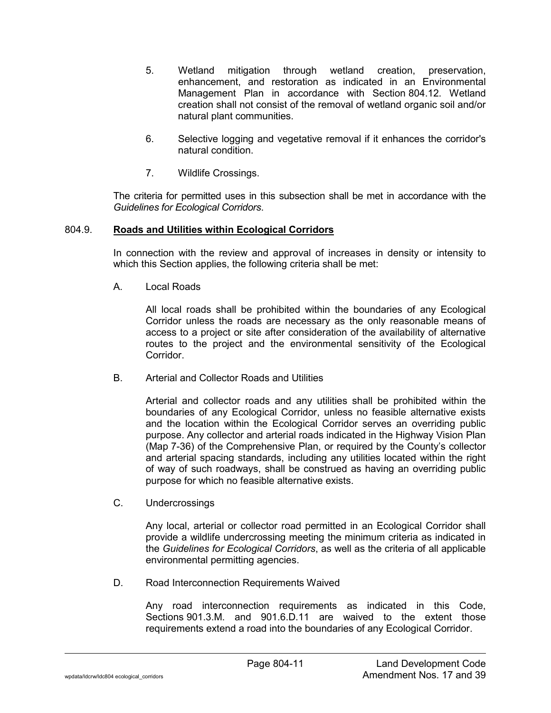- 5. Wetland mitigation through wetland creation, preservation, enhancement, and restoration as indicated in an Environmental Management Plan in accordance with Section 804.12. Wetland creation shall not consist of the removal of wetland organic soil and/or natural plant communities.
- 6. Selective logging and vegetative removal if it enhances the corridor's natural condition.
- 7. Wildlife Crossings.

The criteria for permitted uses in this subsection shall be met in accordance with the *Guidelines for Ecological Corridors*.

#### 804.9. **Roads and Utilities within Ecological Corridors**

In connection with the review and approval of increases in density or intensity to which this Section applies, the following criteria shall be met:

A. Local Roads

All local roads shall be prohibited within the boundaries of any Ecological Corridor unless the roads are necessary as the only reasonable means of access to a project or site after consideration of the availability of alternative routes to the project and the environmental sensitivity of the Ecological Corridor.

B. Arterial and Collector Roads and Utilities

Arterial and collector roads and any utilities shall be prohibited within the boundaries of any Ecological Corridor, unless no feasible alternative exists and the location within the Ecological Corridor serves an overriding public purpose. Any collector and arterial roads indicated in the Highway Vision Plan (Map 7-36) of the Comprehensive Plan, or required by the County's collector and arterial spacing standards, including any utilities located within the right of way of such roadways, shall be construed as having an overriding public purpose for which no feasible alternative exists.

C. Undercrossings

Any local, arterial or collector road permitted in an Ecological Corridor shall provide a wildlife undercrossing meeting the minimum criteria as indicated in the *Guidelines for Ecological Corridors*, as well as the criteria of all applicable environmental permitting agencies.

D. Road Interconnection Requirements Waived

Any road interconnection requirements as indicated in this Code, Sections 901.3.M. and 901.6.D.11 are waived to the extent those requirements extend a road into the boundaries of any Ecological Corridor.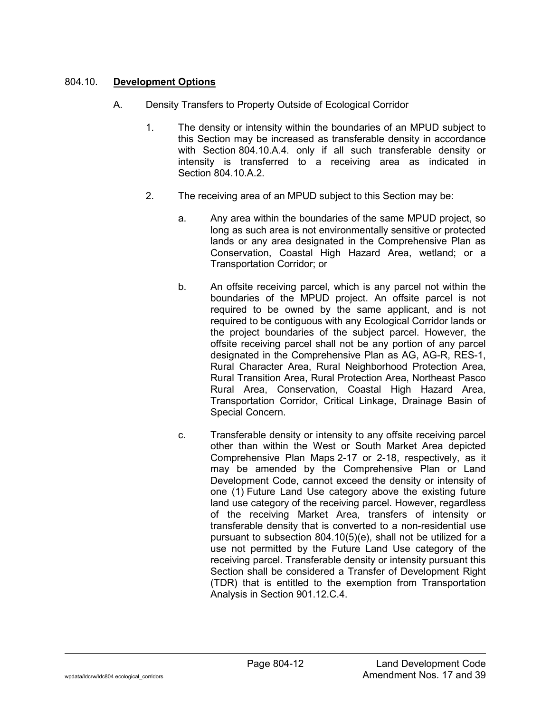## 804.10. **Development Options**

- A. Density Transfers to Property Outside of Ecological Corridor
	- 1. The density or intensity within the boundaries of an MPUD subject to this Section may be increased as transferable density in accordance with Section 804.10.A.4. only if all such transferable density or intensity is transferred to a receiving area as indicated in Section 804.10.A.2.
	- 2. The receiving area of an MPUD subject to this Section may be:
		- a. Any area within the boundaries of the same MPUD project, so long as such area is not environmentally sensitive or protected lands or any area designated in the Comprehensive Plan as Conservation, Coastal High Hazard Area, wetland; or a Transportation Corridor; or
		- b. An offsite receiving parcel, which is any parcel not within the boundaries of the MPUD project. An offsite parcel is not required to be owned by the same applicant, and is not required to be contiguous with any Ecological Corridor lands or the project boundaries of the subject parcel. However, the offsite receiving parcel shall not be any portion of any parcel designated in the Comprehensive Plan as AG, AG-R, RES-1, Rural Character Area, Rural Neighborhood Protection Area, Rural Transition Area, Rural Protection Area, Northeast Pasco Rural Area, Conservation, Coastal High Hazard Area, Transportation Corridor, Critical Linkage, Drainage Basin of Special Concern.
		- c. Transferable density or intensity to any offsite receiving parcel other than within the West or South Market Area depicted Comprehensive Plan Maps 2-17 or 2-18, respectively, as it may be amended by the Comprehensive Plan or Land Development Code, cannot exceed the density or intensity of one (1) Future Land Use category above the existing future land use category of the receiving parcel. However, regardless of the receiving Market Area, transfers of intensity or transferable density that is converted to a non-residential use pursuant to subsection 804.10(5)(e), shall not be utilized for a use not permitted by the Future Land Use category of the receiving parcel. Transferable density or intensity pursuant this Section shall be considered a Transfer of Development Right (TDR) that is entitled to the exemption from Transportation Analysis in Section 901.12.C.4.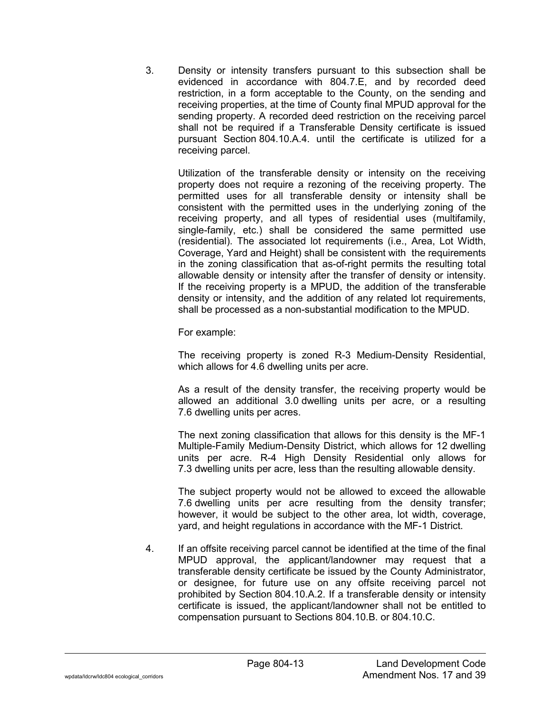3. Density or intensity transfers pursuant to this subsection shall be evidenced in accordance with 804.7.E, and by recorded deed restriction, in a form acceptable to the County, on the sending and receiving properties, at the time of County final MPUD approval for the sending property. A recorded deed restriction on the receiving parcel shall not be required if a Transferable Density certificate is issued pursuant Section 804.10.A.4. until the certificate is utilized for a receiving parcel.

Utilization of the transferable density or intensity on the receiving property does not require a rezoning of the receiving property. The permitted uses for all transferable density or intensity shall be consistent with the permitted uses in the underlying zoning of the receiving property, and all types of residential uses (multifamily, single-family, etc.) shall be considered the same permitted use (residential). The associated lot requirements (i.e., Area, Lot Width, Coverage, Yard and Height) shall be consistent with the requirements in the zoning classification that as-of-right permits the resulting total allowable density or intensity after the transfer of density or intensity. If the receiving property is a MPUD, the addition of the transferable density or intensity, and the addition of any related lot requirements, shall be processed as a non-substantial modification to the MPUD.

For example:

The receiving property is zoned R-3 Medium-Density Residential, which allows for 4.6 dwelling units per acre.

As a result of the density transfer, the receiving property would be allowed an additional 3.0 dwelling units per acre, or a resulting 7.6 dwelling units per acres.

The next zoning classification that allows for this density is the MF-1 Multiple-Family Medium-Density District, which allows for 12 dwelling units per acre. R-4 High Density Residential only allows for 7.3 dwelling units per acre, less than the resulting allowable density.

The subject property would not be allowed to exceed the allowable 7.6 dwelling units per acre resulting from the density transfer; however, it would be subject to the other area, lot width, coverage, yard, and height regulations in accordance with the MF-1 District.

4. If an offsite receiving parcel cannot be identified at the time of the final MPUD approval, the applicant/landowner may request that a transferable density certificate be issued by the County Administrator, or designee, for future use on any offsite receiving parcel not prohibited by Section 804.10.A.2. If a transferable density or intensity certificate is issued, the applicant/landowner shall not be entitled to compensation pursuant to Sections 804.10.B. or 804.10.C.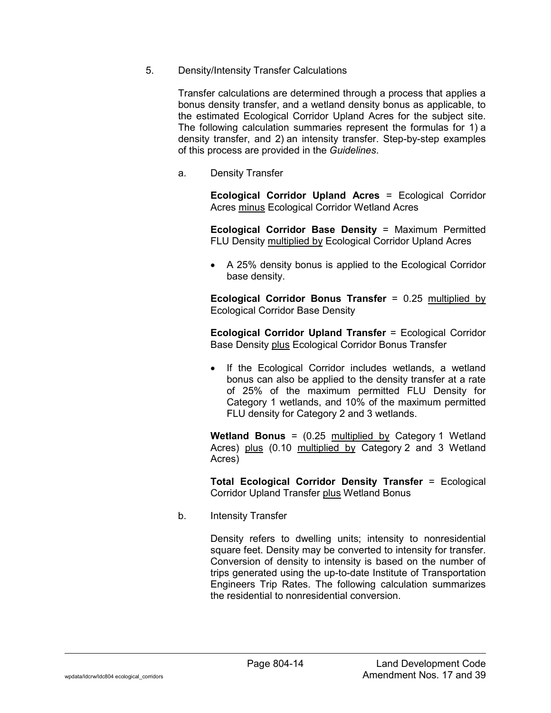5. Density/Intensity Transfer Calculations

Transfer calculations are determined through a process that applies a bonus density transfer, and a wetland density bonus as applicable, to the estimated Ecological Corridor Upland Acres for the subject site. The following calculation summaries represent the formulas for 1) a density transfer, and 2) an intensity transfer. Step-by-step examples of this process are provided in the *Guidelines*.

a. Density Transfer

**Ecological Corridor Upland Acres** = Ecological Corridor Acres minus Ecological Corridor Wetland Acres

**Ecological Corridor Base Density** = Maximum Permitted FLU Density multiplied by Ecological Corridor Upland Acres

• A 25% density bonus is applied to the Ecological Corridor base density.

**Ecological Corridor Bonus Transfer** = 0.25 multiplied by Ecological Corridor Base Density

**Ecological Corridor Upland Transfer** = Ecological Corridor Base Density plus Ecological Corridor Bonus Transfer

• If the Ecological Corridor includes wetlands, a wetland bonus can also be applied to the density transfer at a rate of 25% of the maximum permitted FLU Density for Category 1 wetlands, and 10% of the maximum permitted FLU density for Category 2 and 3 wetlands.

**Wetland Bonus** = (0.25 multiplied by Category 1 Wetland Acres) plus (0.10 multiplied by Category 2 and 3 Wetland Acres)

**Total Ecological Corridor Density Transfer** = Ecological Corridor Upland Transfer plus Wetland Bonus

b. Intensity Transfer

Density refers to dwelling units; intensity to nonresidential square feet. Density may be converted to intensity for transfer. Conversion of density to intensity is based on the number of trips generated using the up-to-date Institute of Transportation Engineers Trip Rates. The following calculation summarizes the residential to nonresidential conversion.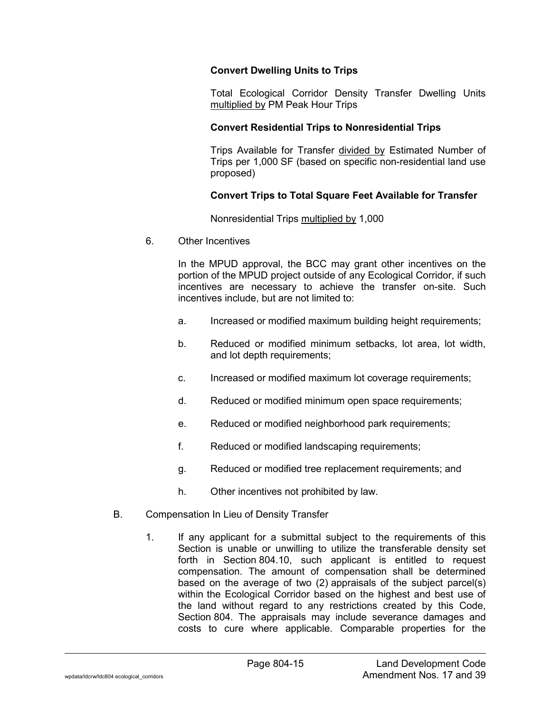## **Convert Dwelling Units to Trips**

Total Ecological Corridor Density Transfer Dwelling Units multiplied by PM Peak Hour Trips

## **Convert Residential Trips to Nonresidential Trips**

Trips Available for Transfer divided by Estimated Number of Trips per 1,000 SF (based on specific non-residential land use proposed)

# **Convert Trips to Total Square Feet Available for Transfer**

Nonresidential Trips multiplied by 1,000

6. Other Incentives

In the MPUD approval, the BCC may grant other incentives on the portion of the MPUD project outside of any Ecological Corridor, if such incentives are necessary to achieve the transfer on-site. Such incentives include, but are not limited to:

- a. Increased or modified maximum building height requirements;
- b. Reduced or modified minimum setbacks, lot area, lot width, and lot depth requirements;
- c. Increased or modified maximum lot coverage requirements;
- d. Reduced or modified minimum open space requirements;
- e. Reduced or modified neighborhood park requirements;
- f. Reduced or modified landscaping requirements;
- g. Reduced or modified tree replacement requirements; and
- h. Other incentives not prohibited by law.
- B. Compensation In Lieu of Density Transfer
	- 1. If any applicant for a submittal subject to the requirements of this Section is unable or unwilling to utilize the transferable density set forth in Section 804.10, such applicant is entitled to request compensation. The amount of compensation shall be determined based on the average of two (2) appraisals of the subject parcel(s) within the Ecological Corridor based on the highest and best use of the land without regard to any restrictions created by this Code, Section 804. The appraisals may include severance damages and costs to cure where applicable. Comparable properties for the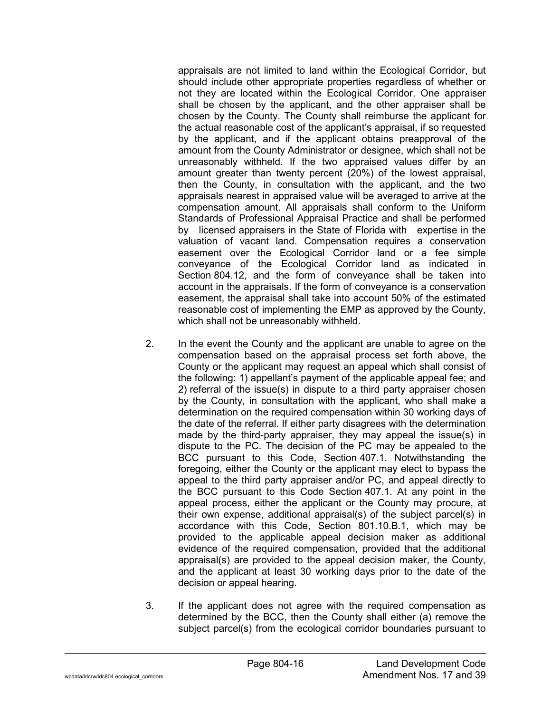appraisals are not limited to land within the Ecological Corridor, but should include other appropriate properties regardless of whether or not they are located within the Ecological Corridor. One appraiser shall be chosen by the applicant, and the other appraiser shall be chosen by the County. The County shall reimburse the applicant for the actual reasonable cost of the applicant's appraisal, if so requested by the applicant, and if the applicant obtains preapproval of the amount from the County Administrator or designee, which shall not be unreasonably withheld. If the two appraised values differ by an amount greater than twenty percent (20%) of the lowest appraisal, then the County, in consultation with the applicant, and the two appraisals nearest in appraised value will be averaged to arrive at the compensation amount. All appraisals shall conform to the Uniform Standards of Professional Appraisal Practice and shall be performed by licensed appraisers in the State of Florida with expertise in the valuation of vacant land. Compensation requires a conservation easement over the Ecological Corridor land or a fee simple conveyance of the Ecological Corridor land as indicated in Section 804.12, and the form of conveyance shall be taken into account in the appraisals. If the form of conveyance is a conservation easement, the appraisal shall take into account 50% of the estimated reasonable cost of implementing the EMP as approved by the County, which shall not be unreasonably withheld.

- 2. In the event the County and the applicant are unable to agree on the compensation based on the appraisal process set forth above, the County or the applicant may request an appeal which shall consist of the following: 1) appellant's payment of the applicable appeal fee; and 2) referral of the issue(s) in dispute to a third party appraiser chosen by the County, in consultation with the applicant, who shall make a determination on the required compensation within 30 working days of the date of the referral. If either party disagrees with the determination made by the third-party appraiser, they may appeal the issue(s) in dispute to the PC. The decision of the PC may be appealed to the BCC pursuant to this Code, Section 407.1. Notwithstanding the foregoing, either the County or the applicant may elect to bypass the appeal to the third party appraiser and/or PC, and appeal directly to the BCC pursuant to this Code Section 407.1. At any point in the appeal process, either the applicant or the County may procure, at their own expense, additional appraisal(s) of the subject parcel(s) in accordance with this Code, Section 801.10.B.1, which may be provided to the applicable appeal decision maker as additional evidence of the required compensation, provided that the additional appraisal(s) are provided to the appeal decision maker, the County, and the applicant at least 30 working days prior to the date of the decision or appeal hearing.
- 3. If the applicant does not agree with the required compensation as determined by the BCC, then the County shall either (a) remove the subject parcel(s) from the ecological corridor boundaries pursuant to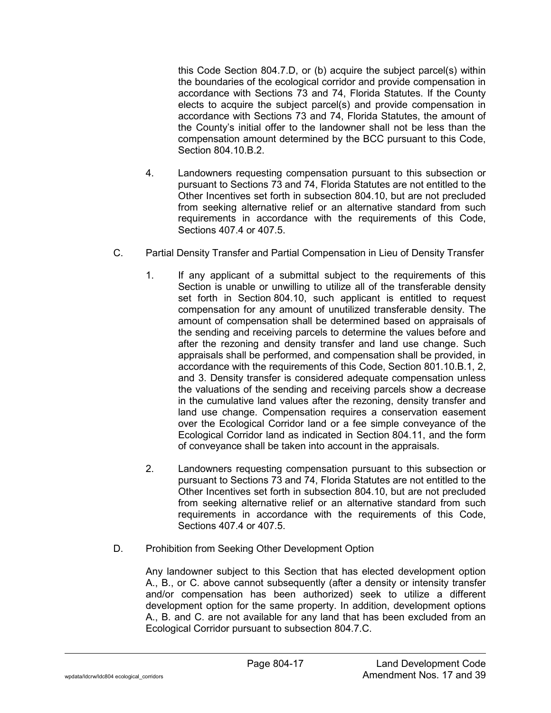this Code Section 804.7.D, or (b) acquire the subject parcel(s) within the boundaries of the ecological corridor and provide compensation in accordance with Sections 73 and 74, Florida Statutes. If the County elects to acquire the subject parcel(s) and provide compensation in accordance with Sections 73 and 74, Florida Statutes, the amount of the County's initial offer to the landowner shall not be less than the compensation amount determined by the BCC pursuant to this Code, Section 804.10.B.2.

- 4. Landowners requesting compensation pursuant to this subsection or pursuant to Sections 73 and 74, Florida Statutes are not entitled to the Other Incentives set forth in subsection 804.10, but are not precluded from seeking alternative relief or an alternative standard from such requirements in accordance with the requirements of this Code, Sections 407.4 or 407.5.
- C. Partial Density Transfer and Partial Compensation in Lieu of Density Transfer
	- 1. If any applicant of a submittal subject to the requirements of this Section is unable or unwilling to utilize all of the transferable density set forth in Section 804.10, such applicant is entitled to request compensation for any amount of unutilized transferable density. The amount of compensation shall be determined based on appraisals of the sending and receiving parcels to determine the values before and after the rezoning and density transfer and land use change. Such appraisals shall be performed, and compensation shall be provided, in accordance with the requirements of this Code, Section 801.10.B.1, 2, and 3. Density transfer is considered adequate compensation unless the valuations of the sending and receiving parcels show a decrease in the cumulative land values after the rezoning, density transfer and land use change. Compensation requires a conservation easement over the Ecological Corridor land or a fee simple conveyance of the Ecological Corridor land as indicated in Section 804.11, and the form of conveyance shall be taken into account in the appraisals.
	- 2. Landowners requesting compensation pursuant to this subsection or pursuant to Sections 73 and 74, Florida Statutes are not entitled to the Other Incentives set forth in subsection 804.10, but are not precluded from seeking alternative relief or an alternative standard from such requirements in accordance with the requirements of this Code, Sections 407.4 or 407.5.
- D. Prohibition from Seeking Other Development Option

Any landowner subject to this Section that has elected development option A., B., or C. above cannot subsequently (after a density or intensity transfer and/or compensation has been authorized) seek to utilize a different development option for the same property. In addition, development options A., B. and C. are not available for any land that has been excluded from an Ecological Corridor pursuant to subsection 804.7.C.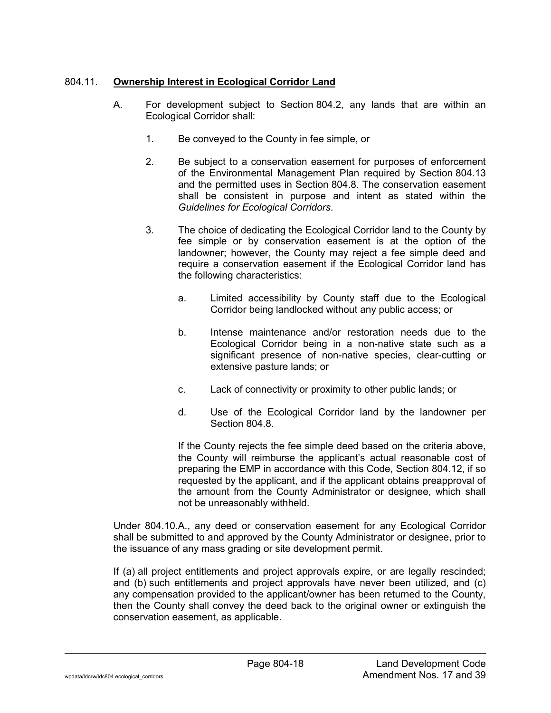# 804.11. **Ownership Interest in Ecological Corridor Land**

- A. For development subject to Section 804.2, any lands that are within an Ecological Corridor shall:
	- 1. Be conveyed to the County in fee simple, or
	- 2. Be subject to a conservation easement for purposes of enforcement of the Environmental Management Plan required by Section 804.13 and the permitted uses in Section 804.8. The conservation easement shall be consistent in purpose and intent as stated within the *Guidelines for Ecological Corridors*.
	- 3. The choice of dedicating the Ecological Corridor land to the County by fee simple or by conservation easement is at the option of the landowner; however, the County may reject a fee simple deed and require a conservation easement if the Ecological Corridor land has the following characteristics:
		- a. Limited accessibility by County staff due to the Ecological Corridor being landlocked without any public access; or
		- b. Intense maintenance and/or restoration needs due to the Ecological Corridor being in a non-native state such as a significant presence of non-native species, clear-cutting or extensive pasture lands; or
		- c. Lack of connectivity or proximity to other public lands; or
		- d. Use of the Ecological Corridor land by the landowner per Section 804 8

If the County rejects the fee simple deed based on the criteria above, the County will reimburse the applicant's actual reasonable cost of preparing the EMP in accordance with this Code, Section 804.12, if so requested by the applicant, and if the applicant obtains preapproval of the amount from the County Administrator or designee, which shall not be unreasonably withheld.

Under 804.10.A., any deed or conservation easement for any Ecological Corridor shall be submitted to and approved by the County Administrator or designee, prior to the issuance of any mass grading or site development permit.

If (a) all project entitlements and project approvals expire, or are legally rescinded; and (b) such entitlements and project approvals have never been utilized, and (c) any compensation provided to the applicant/owner has been returned to the County, then the County shall convey the deed back to the original owner or extinguish the conservation easement, as applicable.